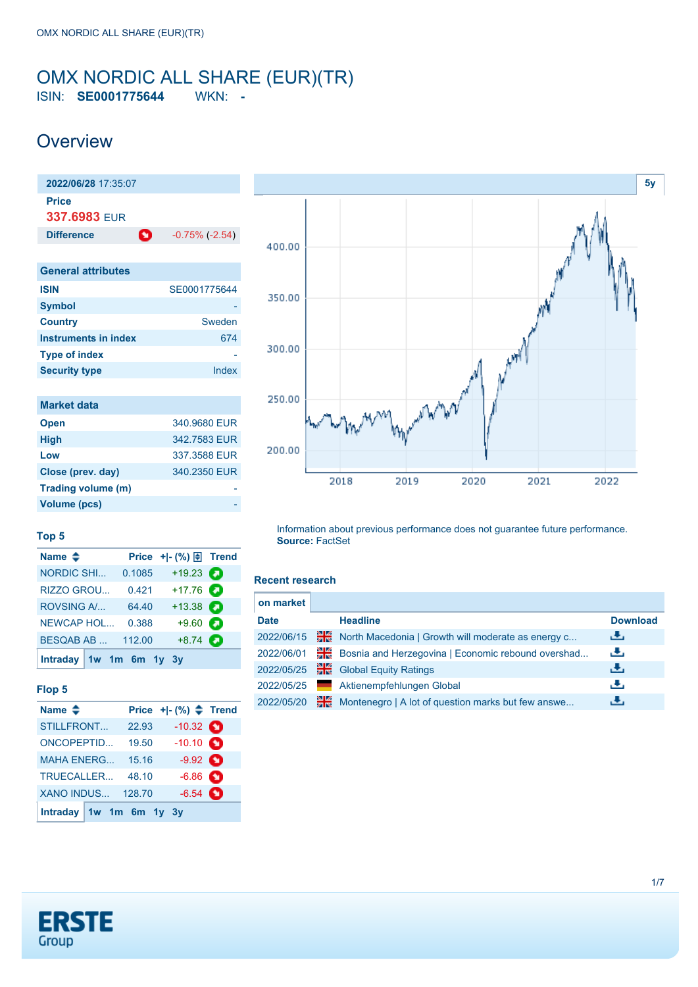## <span id="page-0-0"></span>OMX NORDIC ALL SHARE (EUR)(TR) ISIN: **SE0001775644** WKN: **-**

# **Overview**

| 2022/06/28 17:35:07          |                            |
|------------------------------|----------------------------|
| <b>Price</b><br>337.6983 FUR |                            |
| <b>Difference</b>            | n<br>$-0.75\%$ ( $-2.54$ ) |
|                              |                            |
| <b>General attributes</b>    |                            |
| <b>ISIN</b>                  | SE0001775644               |
| Symbol                       |                            |
| <b>Country</b>               | Sweden                     |
| Instruments in index         | 674                        |
| <b>Type of index</b>         |                            |
| <b>Security type</b>         | Index                      |
|                              |                            |
| Market data                  |                            |
|                              |                            |

| <b>Open</b>        | 340,9680 EUR |
|--------------------|--------------|
| <b>High</b>        | 342.7583 EUR |
| Low                | 337,3588 EUR |
| Close (prev. day)  | 340.2350 EUR |
| Trading volume (m) |              |
| Volume (pcs)       |              |



#### **Top 5**

| Name $\triangleq$         |        | Price $+$ $ \binom{9}{0}$ $\right)$ Trend |  |
|---------------------------|--------|-------------------------------------------|--|
| <b>NORDIC SHI</b>         | 0.1085 | $+19.23$                                  |  |
| RIZZO GROU                | 0.421  | $+17.76$                                  |  |
| <b>ROVSING A/</b>         | 64.40  | $+13.38$ $\bullet$                        |  |
| <b>NEWCAP HOL</b>         | 0.388  | $+9.60$                                   |  |
| <b>BESQAB AB</b>          | 112.00 | $+8.74$ $\bullet$                         |  |
| Intraday $1w$ 1m 6m 1y 3y |        |                                           |  |

### **Flop 5**

| Name $\triangleq$       |       | Price $+$ $ (%)$ $\triangle$ Trend |   |
|-------------------------|-------|------------------------------------|---|
| <b>STILLFRONT</b>       | 22.93 | $-10.32$ $\bullet$                 |   |
| <b>ONCOPEPTID</b>       | 19.50 | $-10.10$ $\bullet$                 |   |
| <b>MAHA ENERG</b>       | 15.16 | $-9.92$ $\bullet$                  |   |
| TRUECALLER              | 48.10 | $-6.86$ $\bullet$                  |   |
| XANO INDUS 128.70       |       | $-6.54$                            | n |
| Intraday 1w 1m 6m 1y 3y |       |                                    |   |

Information about previous performance does not guarantee future performance. **Source:** FactSet

#### **Recent research**

| on market   |    |                                                    |                 |
|-------------|----|----------------------------------------------------|-----------------|
| <b>Date</b> |    | <b>Headline</b>                                    | <b>Download</b> |
| 2022/06/15  | 픪중 | North Macedonia   Growth will moderate as energy c | رنان            |
| 2022/06/01  | 꾉뚢 | Bosnia and Herzegovina   Economic rebound overshad | رنان            |
| 2022/05/25  | 픪장 | <b>Global Equity Ratings</b>                       | رالى            |
| 2022/05/25  |    | Aktienempfehlungen Global                          | æ,              |
| 2022/05/20  | 꾊  | Montenegro   A lot of question marks but few answe | æ,              |

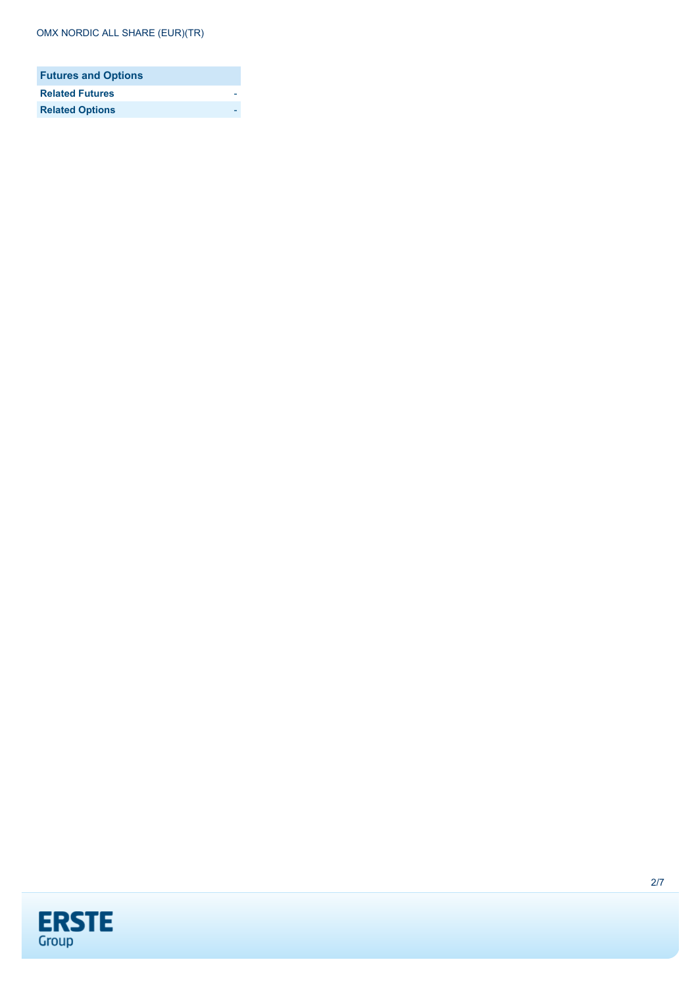| <b>Futures and Options</b> |  |
|----------------------------|--|
| <b>Related Futures</b>     |  |
| <b>Related Options</b>     |  |

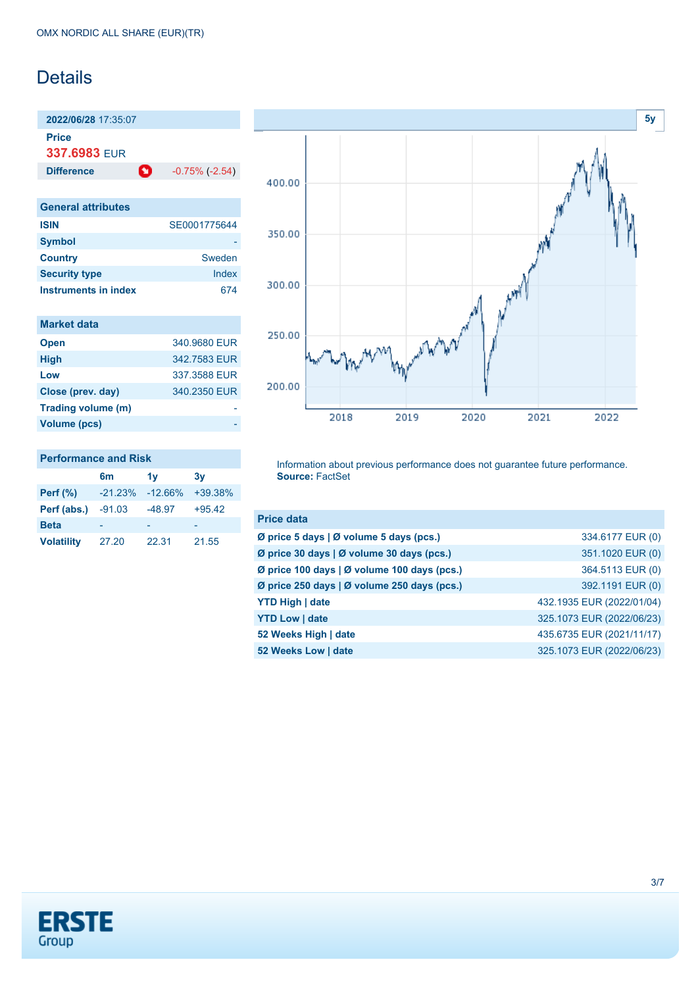# Details

**2022/06/28** 17:35:07

**Price**

**337.6983** EUR

**Difference 1** -0.75% (-2.54)

| <b>General attributes</b> |              |
|---------------------------|--------------|
| <b>ISIN</b>               | SE0001775644 |
| <b>Symbol</b>             |              |
| <b>Country</b>            | Sweden       |
| <b>Security type</b>      | Index        |
| Instruments in index      | 674          |

| <b>Market data</b> |  |
|--------------------|--|
| <b>Open</b>        |  |

| <b>Open</b>        | 340.9680 EUR |
|--------------------|--------------|
| <b>High</b>        | 342.7583 EUR |
| Low                | 337,3588 EUR |
| Close (prev. day)  | 340.2350 EUR |
| Trading volume (m) |              |
| Volume (pcs)       |              |



### **Performance and Risk**

|                   | 6 <sub>m</sub> | 1v        | 3v        |
|-------------------|----------------|-----------|-----------|
| Perf $(\%)$       | $-21.23%$      | $-12.66%$ | $+39.38%$ |
| Perf (abs.)       | -91.03         | $-48.97$  | $+95.42$  |
| <b>Beta</b>       |                |           |           |
| <b>Volatility</b> | 27.20          | 22.31     | 21.55     |

Information about previous performance does not guarantee future performance. **Source:** FactSet

| <b>Price data</b>                           |                           |
|---------------------------------------------|---------------------------|
| Ø price 5 days   Ø volume 5 days (pcs.)     | 334.6177 EUR (0)          |
| Ø price 30 days   Ø volume 30 days (pcs.)   | 351.1020 EUR (0)          |
| Ø price 100 days   Ø volume 100 days (pcs.) | 364.5113 EUR (0)          |
| Ø price 250 days   Ø volume 250 days (pcs.) | 392.1191 EUR (0)          |
| <b>YTD High   date</b>                      | 432.1935 EUR (2022/01/04) |
| <b>YTD Low   date</b>                       | 325.1073 EUR (2022/06/23) |
| 52 Weeks High   date                        | 435.6735 EUR (2021/11/17) |
| 52 Weeks Low   date                         | 325.1073 EUR (2022/06/23) |

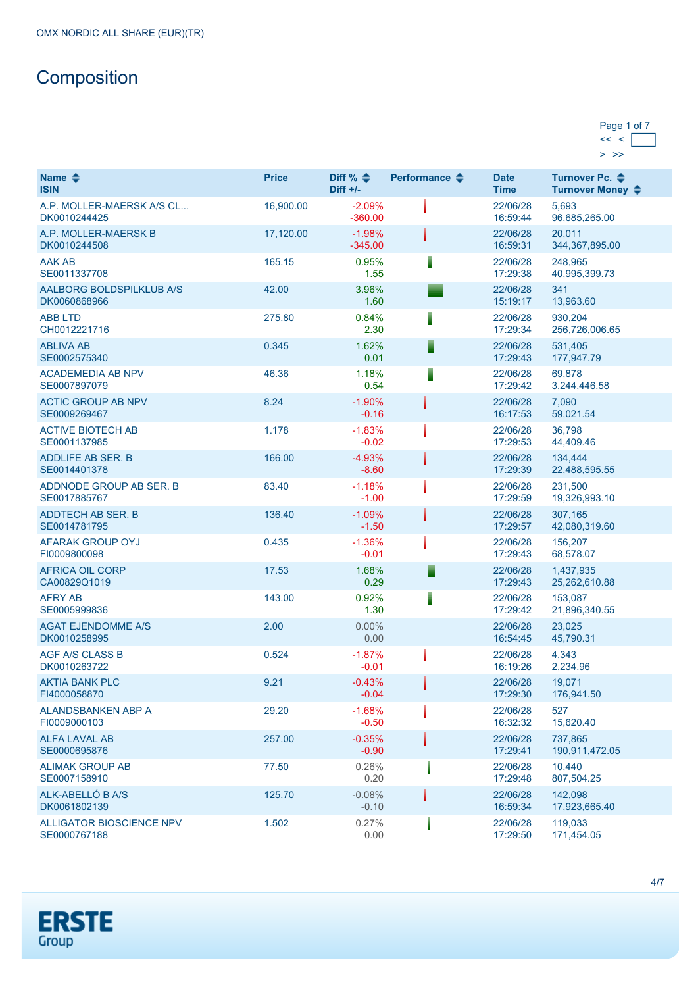# **Composition**

| Page 1 of 7 |  |
|-------------|--|
|             |  |
|             |  |

| Name $\triangle$<br><b>ISIN</b>           | <b>Price</b> | Diff % $\triangleq$<br>Diff $+/-$ | Performance $\triangle$ | <b>Date</b><br><b>Time</b> | Turnover Pc. ♦<br>Turnover Money ≑ |
|-------------------------------------------|--------------|-----------------------------------|-------------------------|----------------------------|------------------------------------|
| A.P. MOLLER-MAERSK A/S CL<br>DK0010244425 | 16,900.00    | $-2.09%$<br>$-360.00$             |                         | 22/06/28<br>16:59:44       | 5,693<br>96,685,265.00             |
| A.P. MOLLER-MAERSK B<br>DK0010244508      | 17,120.00    | $-1.98%$<br>$-345.00$             |                         | 22/06/28<br>16:59:31       | 20,011<br>344,367,895.00           |
| <b>AAK AB</b><br>SE0011337708             | 165.15       | 0.95%<br>1.55                     | I                       | 22/06/28<br>17:29:38       | 248,965<br>40,995,399.73           |
| AALBORG BOLDSPILKLUB A/S<br>DK0060868966  | 42.00        | 3.96%<br>1.60                     |                         | 22/06/28<br>15:19:17       | 341<br>13,963.60                   |
| <b>ABB LTD</b><br>CH0012221716            | 275.80       | 0.84%<br>2.30                     |                         | 22/06/28<br>17:29:34       | 930,204<br>256,726,006.65          |
| <b>ABLIVA AB</b><br>SE0002575340          | 0.345        | 1.62%<br>0.01                     | Е                       | 22/06/28<br>17:29:43       | 531,405<br>177,947.79              |
| <b>ACADEMEDIA AB NPV</b><br>SE0007897079  | 46.36        | 1.18%<br>0.54                     | ı                       | 22/06/28<br>17:29:42       | 69,878<br>3,244,446.58             |
| <b>ACTIC GROUP AB NPV</b><br>SE0009269467 | 8.24         | $-1.90%$<br>$-0.16$               |                         | 22/06/28<br>16:17:53       | 7,090<br>59,021.54                 |
| <b>ACTIVE BIOTECH AB</b><br>SE0001137985  | 1.178        | $-1.83%$<br>$-0.02$               |                         | 22/06/28<br>17:29:53       | 36,798<br>44,409.46                |
| <b>ADDLIFE AB SER. B</b><br>SE0014401378  | 166.00       | $-4.93%$<br>$-8.60$               |                         | 22/06/28<br>17:29:39       | 134,444<br>22,488,595.55           |
| ADDNODE GROUP AB SER. B<br>SE0017885767   | 83.40        | $-1.18%$<br>$-1.00$               |                         | 22/06/28<br>17:29:59       | 231,500<br>19,326,993.10           |
| ADDTECH AB SER. B<br>SE0014781795         | 136.40       | $-1.09%$<br>$-1.50$               |                         | 22/06/28<br>17:29:57       | 307,165<br>42,080,319.60           |
| <b>AFARAK GROUP OYJ</b><br>FI0009800098   | 0.435        | $-1.36%$<br>$-0.01$               |                         | 22/06/28<br>17:29:43       | 156,207<br>68,578.07               |
| <b>AFRICA OIL CORP</b><br>CA00829Q1019    | 17.53        | 1.68%<br>0.29                     | Ē                       | 22/06/28<br>17:29:43       | 1,437,935<br>25,262,610.88         |
| <b>AFRY AB</b><br>SE0005999836            | 143.00       | 0.92%<br>1.30                     | I                       | 22/06/28<br>17:29:42       | 153,087<br>21,896,340.55           |
| <b>AGAT EJENDOMME A/S</b><br>DK0010258995 | 2.00         | $0.00\%$<br>0.00                  |                         | 22/06/28<br>16:54:45       | 23,025<br>45,790.31                |
| <b>AGF A/S CLASS B</b><br>DK0010263722    | 0.524        | $-1.87%$<br>$-0.01$               |                         | 22/06/28<br>16:19:26       | 4,343<br>2,234.96                  |
| <b>AKTIA BANK PLC</b><br>FI4000058870     | 9.21         | $-0.43%$<br>$-0.04$               |                         | 22/06/28<br>17:29:30       | 19,071<br>176,941.50               |
| ALANDSBANKEN ABP A<br>FI0009000103        | 29.20        | $-1.68%$<br>$-0.50$               |                         | 22/06/28<br>16:32:32       | 527<br>15,620.40                   |
| ALFA LAVAL AB<br>SE0000695876             | 257.00       | $-0.35%$<br>$-0.90$               |                         | 22/06/28<br>17:29:41       | 737,865<br>190,911,472.05          |
| <b>ALIMAK GROUP AB</b><br>SE0007158910    | 77.50        | 0.26%<br>0.20                     |                         | 22/06/28<br>17:29:48       | 10,440<br>807,504.25               |
| ALK-ABELLÓ B A/S<br>DK0061802139          | 125.70       | $-0.08%$<br>$-0.10$               |                         | 22/06/28<br>16:59:34       | 142,098<br>17,923,665.40           |
| ALLIGATOR BIOSCIENCE NPV<br>SE0000767188  | 1.502        | 0.27%<br>0.00                     |                         | 22/06/28<br>17:29:50       | 119,033<br>171,454.05              |

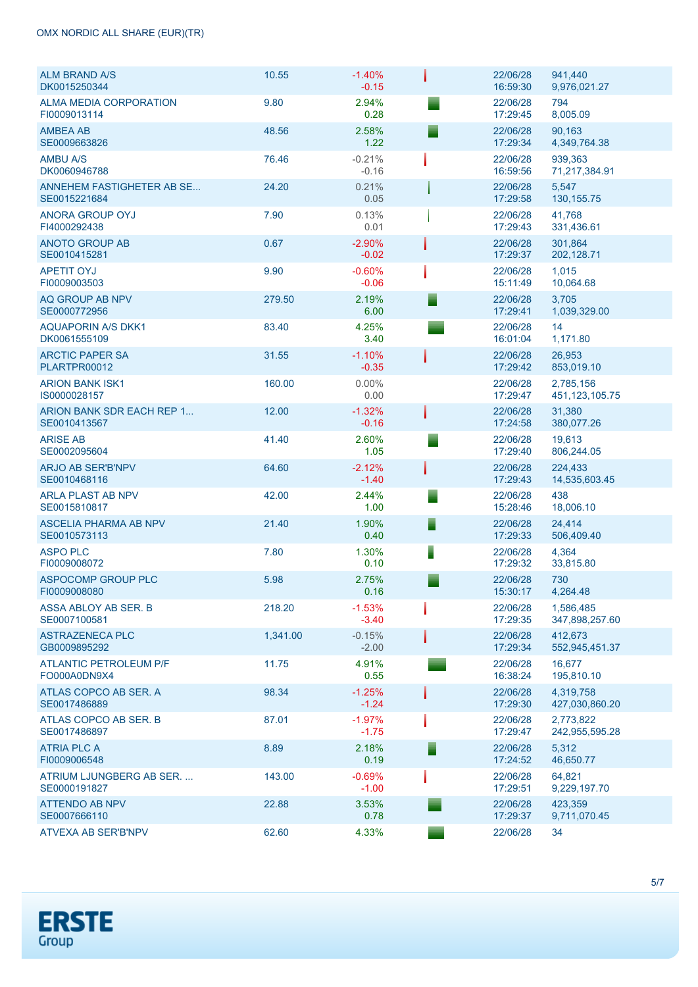| <b>ALM BRAND A/S</b><br>DK0015250344          | 10.55    | $-1.40%$<br>$-0.15$ | 22/06/28<br>16:59:30 | 941,440<br>9,976,021.27        |
|-----------------------------------------------|----------|---------------------|----------------------|--------------------------------|
| ALMA MEDIA CORPORATION<br>FI0009013114        | 9.80     | 2.94%<br>0.28       | 22/06/28<br>17:29:45 | 794<br>8,005.09                |
| <b>AMBEA AB</b><br>SE0009663826               | 48.56    | 2.58%<br>1.22       | 22/06/28<br>17:29:34 | 90,163<br>4,349,764.38         |
| <b>AMBU A/S</b><br>DK0060946788               | 76.46    | $-0.21%$<br>$-0.16$ | 22/06/28<br>16:59:56 | 939,363<br>71,217,384.91       |
| ANNEHEM FASTIGHETER AB SE<br>SE0015221684     | 24.20    | 0.21%<br>0.05       | 22/06/28<br>17:29:58 | 5,547<br>130, 155. 75          |
| ANORA GROUP OYJ<br>FI4000292438               | 7.90     | 0.13%<br>0.01       | 22/06/28<br>17:29:43 | 41,768<br>331,436.61           |
| <b>ANOTO GROUP AB</b><br>SE0010415281         | 0.67     | $-2.90%$<br>$-0.02$ | 22/06/28<br>17:29:37 | 301,864<br>202,128.71          |
| <b>APETIT OYJ</b><br>FI0009003503             | 9.90     | $-0.60%$<br>$-0.06$ | 22/06/28<br>15:11:49 | 1,015<br>10,064.68             |
| AQ GROUP AB NPV<br>SE0000772956               | 279.50   | 2.19%<br>6.00       | 22/06/28<br>17:29:41 | 3.705<br>1,039,329.00          |
| <b>AQUAPORIN A/S DKK1</b><br>DK0061555109     | 83.40    | 4.25%<br>3.40       | 22/06/28<br>16:01:04 | 14<br>1,171.80                 |
| <b>ARCTIC PAPER SA</b><br>PLARTPR00012        | 31.55    | $-1.10%$<br>$-0.35$ | 22/06/28<br>17:29:42 | 26,953<br>853,019.10           |
| <b>ARION BANK ISK1</b><br>IS0000028157        | 160.00   | $0.00\%$<br>0.00    | 22/06/28<br>17:29:47 | 2,785,156<br>451, 123, 105. 75 |
| ARION BANK SDR EACH REP 1<br>SE0010413567     | 12.00    | $-1.32%$<br>$-0.16$ | 22/06/28<br>17:24:58 | 31,380<br>380,077.26           |
| <b>ARISE AB</b><br>SE0002095604               | 41.40    | 2.60%<br>1.05       | 22/06/28<br>17:29:40 | 19,613<br>806,244.05           |
| <b>ARJO AB SER'B'NPV</b><br>SE0010468116      | 64.60    | $-2.12%$<br>$-1.40$ | 22/06/28<br>17:29:43 | 224,433<br>14,535,603.45       |
| <b>ARLA PLAST AB NPV</b><br>SE0015810817      | 42.00    | 2.44%<br>1.00       | 22/06/28<br>15:28:46 | 438<br>18,006.10               |
| <b>ASCELIA PHARMA AB NPV</b><br>SE0010573113  | 21.40    | 1.90%<br>0.40       | 22/06/28<br>17:29:33 | 24.414<br>506,409.40           |
| <b>ASPO PLC</b><br>FI0009008072               | 7.80     | 1.30%<br>0.10       | 22/06/28<br>17:29:32 | 4,364<br>33,815.80             |
| <b>ASPOCOMP GROUP PLC</b><br>F10009008080     | 5.98     | 2.75%<br>0.16       | 22/06/28<br>15:30:17 | 730<br>4,264.48                |
| ASSA ABLOY AB SER. B<br>SE0007100581          | 218.20   | $-1.53%$<br>$-3.40$ | 22/06/28<br>17:29:35 | 1,586,485<br>347,898,257.60    |
| <b>ASTRAZENECA PLC</b><br>GB0009895292        | 1,341.00 | $-0.15%$<br>$-2.00$ | 22/06/28<br>17:29:34 | 412.673<br>552,945,451.37      |
| <b>ATLANTIC PETROLEUM P/F</b><br>FO000A0DN9X4 | 11.75    | 4.91%<br>0.55       | 22/06/28<br>16:38:24 | 16,677<br>195,810.10           |
| ATLAS COPCO AB SER. A<br>SE0017486889         | 98.34    | $-1.25%$<br>$-1.24$ | 22/06/28<br>17:29:30 | 4,319,758<br>427,030,860.20    |
| ATLAS COPCO AB SER. B<br>SE0017486897         | 87.01    | $-1.97%$<br>$-1.75$ | 22/06/28<br>17:29:47 | 2,773,822<br>242,955,595.28    |
| <b>ATRIA PLC A</b><br>FI0009006548            | 8.89     | 2.18%<br>0.19       | 22/06/28<br>17:24:52 | 5,312<br>46,650.77             |
| ATRIUM LJUNGBERG AB SER.<br>SE0000191827      | 143.00   | $-0.69%$<br>$-1.00$ | 22/06/28<br>17:29:51 | 64,821<br>9,229,197.70         |
| ATTENDO AB NPV<br>SE0007666110                | 22.88    | 3.53%<br>0.78       | 22/06/28<br>17:29:37 | 423,359<br>9,711,070.45        |
| <b>ATVEXA AB SER'B'NPV</b>                    | 62.60    | 4.33%               | 22/06/28             | 34                             |

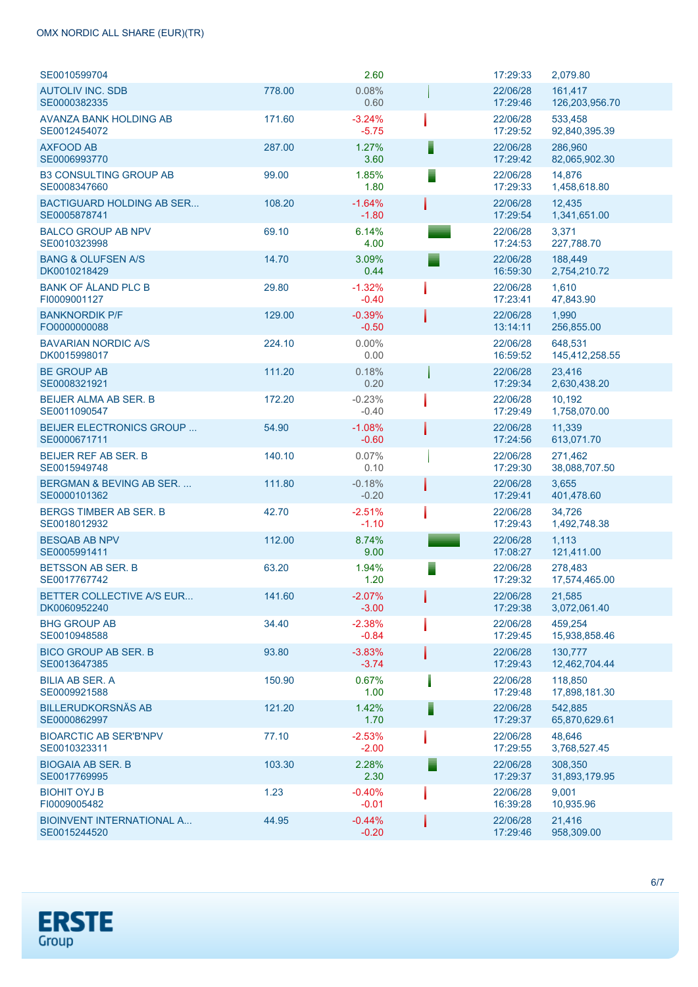## OMX NORDIC ALL SHARE (EUR)(TR)

| SE0010599704                                       |        | 2.60                |   | 17:29:33             | 2,079.80                  |
|----------------------------------------------------|--------|---------------------|---|----------------------|---------------------------|
| <b>AUTOLIV INC. SDB</b><br>SE0000382335            | 778.00 | 0.08%<br>0.60       |   | 22/06/28<br>17:29:46 | 161,417<br>126,203,956.70 |
| AVANZA BANK HOLDING AB<br>SE0012454072             | 171.60 | $-3.24%$<br>$-5.75$ |   | 22/06/28<br>17:29:52 | 533,458<br>92,840,395.39  |
| <b>AXFOOD AB</b><br>SE0006993770                   | 287.00 | 1.27%<br>3.60       | Ī | 22/06/28<br>17:29:42 | 286,960<br>82,065,902.30  |
| <b>B3 CONSULTING GROUP AB</b><br>SE0008347660      | 99.00  | 1.85%<br>1.80       |   | 22/06/28<br>17:29:33 | 14,876<br>1,458,618.80    |
| <b>BACTIGUARD HOLDING AB SER</b><br>SE0005878741   | 108.20 | $-1.64%$<br>$-1.80$ |   | 22/06/28<br>17:29:54 | 12,435<br>1,341,651.00    |
| <b>BALCO GROUP AB NPV</b><br>SE0010323998          | 69.10  | 6.14%<br>4.00       |   | 22/06/28<br>17:24:53 | 3,371<br>227,788.70       |
| <b>BANG &amp; OLUFSEN A/S</b><br>DK0010218429      | 14.70  | 3.09%<br>0.44       |   | 22/06/28<br>16:59:30 | 188,449<br>2,754,210.72   |
| <b>BANK OF ÅLAND PLC B</b><br>FI0009001127         | 29.80  | $-1.32%$<br>$-0.40$ |   | 22/06/28<br>17:23:41 | 1,610<br>47,843.90        |
| <b>BANKNORDIK P/F</b><br>FO0000000088              | 129.00 | $-0.39%$<br>$-0.50$ |   | 22/06/28<br>13:14:11 | 1,990<br>256,855.00       |
| <b>BAVARIAN NORDIC A/S</b><br>DK0015998017         | 224.10 | $0.00\%$<br>0.00    |   | 22/06/28<br>16:59:52 | 648,531<br>145,412,258.55 |
| <b>BE GROUP AB</b><br>SE0008321921                 | 111.20 | 0.18%<br>0.20       |   | 22/06/28<br>17:29:34 | 23,416<br>2,630,438.20    |
| <b>BEIJER ALMA AB SER. B</b><br>SE0011090547       | 172.20 | $-0.23%$<br>$-0.40$ |   | 22/06/28<br>17:29:49 | 10,192<br>1,758,070.00    |
| <b>BEIJER ELECTRONICS GROUP </b><br>SE0000671711   | 54.90  | $-1.08%$<br>$-0.60$ |   | 22/06/28<br>17:24:56 | 11,339<br>613,071.70      |
| <b>BEIJER REF AB SER. B</b><br>SE0015949748        | 140.10 | 0.07%<br>0.10       |   | 22/06/28<br>17:29:30 | 271,462<br>38,088,707.50  |
| <b>BERGMAN &amp; BEVING AB SER</b><br>SE0000101362 | 111.80 | $-0.18%$<br>$-0.20$ |   | 22/06/28<br>17:29:41 | 3,655<br>401,478.60       |
| <b>BERGS TIMBER AB SER. B</b><br>SE0018012932      | 42.70  | $-2.51%$<br>$-1.10$ |   | 22/06/28<br>17:29:43 | 34,726<br>1,492,748.38    |
| <b>BESOAB AB NPV</b><br>SE0005991411               | 112.00 | 8.74%<br>9.00       |   | 22/06/28<br>17:08:27 | 1,113<br>121,411.00       |
| <b>BETSSON AB SER. B</b><br>SE0017767742           | 63.20  | 1.94%<br>1.20       |   | 22/06/28<br>17:29:32 | 278.483<br>17,574,465.00  |
| BETTER COLLECTIVE A/S EUR<br>DK0060952240          | 141.60 | $-2.07%$<br>$-3.00$ |   | 22/06/28<br>17:29:38 | 21,585<br>3,072,061.40    |
| <b>BHG GROUP AB</b><br>SE0010948588                | 34.40  | $-2.38%$<br>$-0.84$ |   | 22/06/28<br>17:29:45 | 459,254<br>15,938,858.46  |
| <b>BICO GROUP AB SER. B</b><br>SE0013647385        | 93.80  | $-3.83%$<br>$-3.74$ |   | 22/06/28<br>17:29:43 | 130,777<br>12,462,704.44  |
| <b>BILIA AB SER. A</b><br>SE0009921588             | 150.90 | 0.67%<br>1.00       |   | 22/06/28<br>17:29:48 | 118,850<br>17,898,181.30  |
| <b>BILLERUDKORSNÄS AB</b><br>SE0000862997          | 121.20 | 1.42%<br>1.70       | ▋ | 22/06/28<br>17:29:37 | 542,885<br>65,870,629.61  |
| <b>BIOARCTIC AB SER'B'NPV</b><br>SE0010323311      | 77.10  | $-2.53%$<br>$-2.00$ |   | 22/06/28<br>17:29:55 | 48,646<br>3,768,527.45    |
| <b>BIOGAIA AB SER. B</b><br>SE0017769995           | 103.30 | 2.28%<br>2.30       |   | 22/06/28<br>17:29:37 | 308,350<br>31,893,179.95  |
| <b>BIOHIT OYJ B</b><br>FI0009005482                | 1.23   | $-0.40%$<br>$-0.01$ |   | 22/06/28<br>16:39:28 | 9,001<br>10,935.96        |
| <b>BIOINVENT INTERNATIONAL A</b><br>SE0015244520   | 44.95  | $-0.44%$<br>$-0.20$ |   | 22/06/28<br>17:29:46 | 21,416<br>958,309.00      |